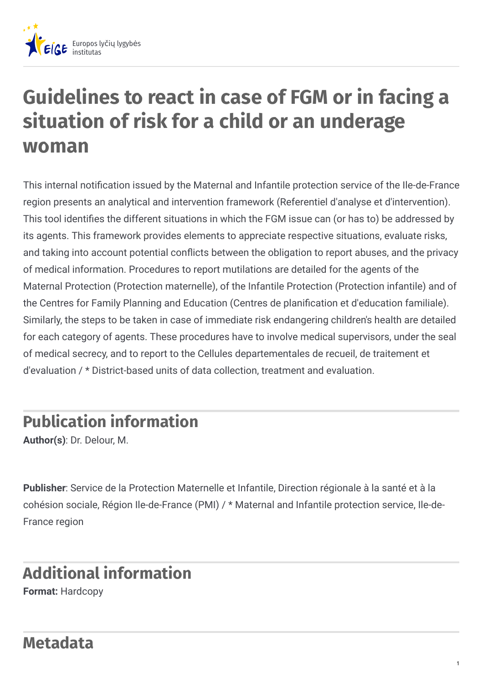

## **Guidelines to react in case of FGM or in facing a situation of risk for a child or an underage woman**

This internal notification issued by the Maternal and Infantile protection service of the Ile-de-France region presents an analytical and intervention framework (Referentiel d'analyse et d'intervention). This tool identifies the different situations in which the FGM issue can (or has to) be addressed by its agents. This framework provides elements to appreciate respective situations, evaluate risks, and taking into account potential conflicts between the obligation to report abuses, and the privacy of medical information. Procedures to report mutilations are detailed for the agents of the Maternal Protection (Protection maternelle), of the Infantile Protection (Protection infantile) and of the Centres for Family Planning and Education (Centres de plani
cation et d'education familiale). Similarly, the steps to be taken in case of immediate risk endangering children's health are detailed for each category of agents. These procedures have to involve medical supervisors, under the seal of medical secrecy, and to report to the Cellules departementales de recueil, de traitement et d'evaluation / \* District-based units of data collection, treatment and evaluation.

## **Publication information**

**Author(s)**: Dr. Delour, M.

**Publisher**: Service de la Protection Maternelle et Infantile, Direction régionale à la santé et à la cohésion sociale, Région Ile-de-France (PMI) / \* Maternal and Infantile protection service, Ile-de-France region

## **Additional information**

**Format:** Hardcopy